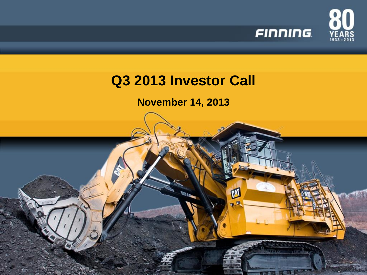

### **November 14, 2013**

M

**LITTLE**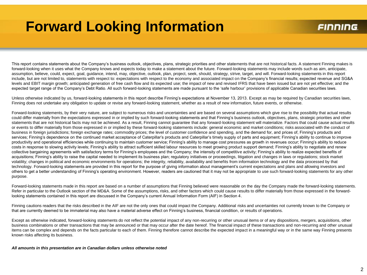# **Forward Looking Information**

#### FINNING

This report contains statements about the Company's business outlook, objectives, plans, strategic priorities and other statements that are not historical facts. A statement Finning makes is forward-looking when it uses what the Company knows and expects today to make a statement about the future. Forward-looking statements may include words such as aim, anticipate, assumption, believe, could, expect, goal, guidance, intend, may, objective, outlook, plan, project, seek, should, strategy, strive, target, and will. Forward-looking statements in this report include, but are not limited to, statements with respect to: expectations with respect to the economy and associated impact on the Company's financial results; expected revenue and SG&A levels and EBIT margin growth; anticipated generation of free cash flow and its expected use; the impact of new and revised IFRS that have been issued but are not yet effective; and the expected target range of the Company's Debt Ratio. All such forward-looking statements are made pursuant to the 'safe harbour' provisions of applicable Canadian securities laws.

Unless otherwise indicated by us, forward-looking statements in this report describe Finning's expectations at November 13, 2013. Except as may be required by Canadian securities laws, Finning does not undertake any obligation to update or revise any forward-looking statement, whether as a result of new information, future events, or otherwise.

Forward-looking statements, by their very nature, are subject to numerous risks and uncertainties and are based on several assumptions which give rise to the possibility that actual results could differ materially from the expectations expressed in or implied by such forward-looking statements and that Finning's business outlook, objectives, plans, strategic priorities and other statements that are not historical facts may not be achieved. As a result, Finning cannot guarantee that any forward-looking statement will materialize. Factors that could cause actual results or events to differ materially from those expressed in or implied by these forward-looking statements include: general economic and market conditions; risks associated with the conduct of business in foreign jurisdictions; foreign exchange rates; commodity prices; the level of customer confidence and spending, and the demand for, and prices of, Finning's products and services; Finning's dependence on the continued market acceptance of Caterpillar's products and Caterpillar's timely supply of parts and equipment; Finning's ability to continue to improve productivity and operational efficiencies while continuing to maintain customer service; Finning's ability to manage cost pressures as growth in revenues occur; Finning's ability to reduce costs in response to slowing activity levels; Finning's ability to attract sufficient skilled labour resources to meet growing product support demand; Finning's ability to negotiate and renew collective bargaining agreements with satisfactory terms for Finning's employees and the Company; the intensity of competitive activity; Finning's ability to realize expected benefits of acquisitions; Finning's ability to raise the capital needed to implement its business plan; regulatory initiatives or proceedings, litigation and changes in laws or regulations; stock market volatility; changes in political and economic environments for operations; the integrity, reliability, availability and benefits from information technology and the data processed by that technology. Forward-looking statements are provided in this report for the purpose of giving information about management's current expectations and plans and allowing investors and others to get a better understanding of Finning's operating environment. However, readers are cautioned that it may not be appropriate to use such forward-looking statements for any other purpose.

Forward-looking statements made in this report are based on a number of assumptions that Finning believed were reasonable on the day the Company made the forward-looking statements. Refer in particular to the Outlook section of the MD&A. Some of the assumptions, risks, and other factors which could cause results to differ materially from those expressed in the forwardlooking statements contained in this report are discussed in the Company's current Annual Information Form (AIF) in Section 4.

Finning cautions readers that the risks described in the AIF are not the only ones that could impact the Company. Additional risks and uncertainties not currently known to the Company or that are currently deemed to be immaterial may also have a material adverse effect on Finning's business, financial condition, or results of operations.

Except as otherwise indicated, forward-looking statements do not reflect the potential impact of any non-recurring or other unusual items or of any dispositions, mergers, acquisitions, other business combinations or other transactions that may be announced or that may occur after the date hereof. The financial impact of these transactions and non-recurring and other unusual items can be complex and depends on the facts particular to each of them. Finning therefore cannot describe the expected impact in a meaningful way or in the same way Finning presents known risks affecting its business.

*All amounts in this presentation are in Canadian dollars unless otherwise noted*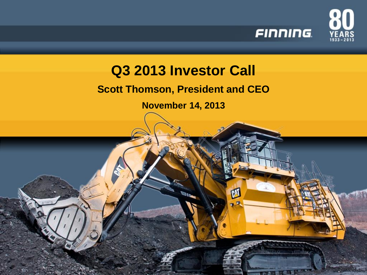

### **Scott Thomson, President and CEO**

**November 14, 2013**

M

 $11111$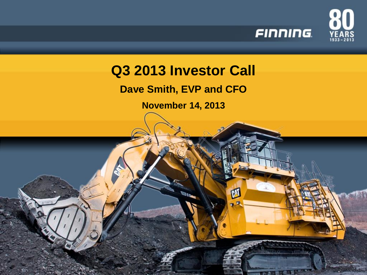

**Dave Smith, EVP and CFO**

**November 14, 2013**

M

 $11111$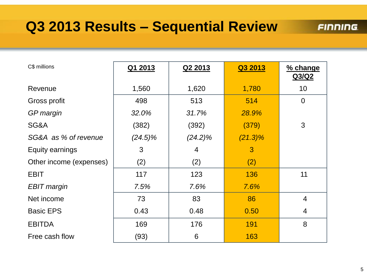# **Q3 2013 Results – Sequential Review**

| C\$ millions            | Q1 2013    | Q2 2013        | Q3 2013    | % change<br>Q3/Q2 |
|-------------------------|------------|----------------|------------|-------------------|
| Revenue                 | 1,560      | 1,620          | 1,780      | 10                |
| Gross profit            | 498        | 513            | 514        | $\overline{0}$    |
| GP margin               | 32.0%      | 31.7%          | 28.9%      |                   |
| SG&A                    | (382)      | (392)          | (379)      | 3                 |
| SG&A as % of revenue    | $(24.5)\%$ | $(24.2)\%$     | $(21.3)\%$ |                   |
| Equity earnings         | 3          | $\overline{4}$ | 3          |                   |
| Other income (expenses) | (2)        | (2)            | (2)        |                   |
| <b>EBIT</b>             | 117        | 123            | 136        | 11                |
| <b>EBIT</b> margin      | 7.5%       | 7.6%           | 7.6%       |                   |
| Net income              | 73         | 83             | 86         | $\overline{4}$    |
| <b>Basic EPS</b>        | 0.43       | 0.48           | 0.50       | $\overline{4}$    |
| <b>EBITDA</b>           | 169        | 176            | 191        | 8                 |
| Free cash flow          | (93)       | 6              | 163        |                   |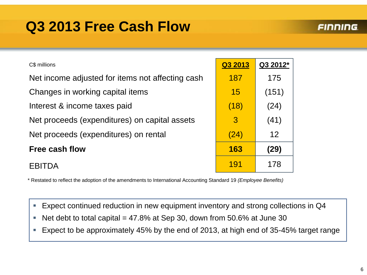# **Q3 2013 Free Cash Flow**

#### **FINNING**

| C\$ millions                                     | Q3 2013 | Q3 2012* |
|--------------------------------------------------|---------|----------|
| Net income adjusted for items not affecting cash | 187     | 175      |
| Changes in working capital items                 | 15      | (151)    |
| Interest & income taxes paid                     | (18)    | (24)     |
| Net proceeds (expenditures) on capital assets    | 3       | (41)     |
| Net proceeds (expenditures) on rental            | (24)    | 12       |
| Free cash flow                                   | 163     | (29)     |
| $\mathcal{A}$                                    | 191     | 178      |
|                                                  |         |          |

\* Restated to reflect the adoption of the amendments to International Accounting Standard 19 *(Employee Benefits)* 

- Expect continued reduction in new equipment inventory and strong collections in Q4
- Net debt to total capital =  $47.8\%$  at Sep 30, down from 50.6% at June 30
- Expect to be approximately 45% by the end of 2013, at high end of 35-45% target range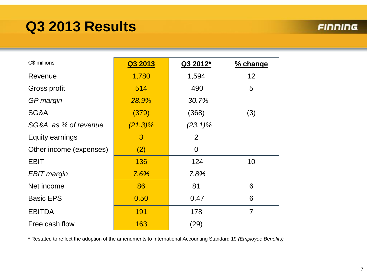# **Q3 2013 Results**

#### **FINNING**

| C\$ millions            | Q3 2013    | Q3 2012*       | % change       |
|-------------------------|------------|----------------|----------------|
| Revenue                 | 1,780      | 1,594          | 12             |
| Gross profit            | 514        | 490            | 5              |
| GP margin               | 28.9%      | 30.7%          |                |
| SG&A                    | (379)      | (368)          | (3)            |
| SG&A as % of revenue    | $(21.3)\%$ | $(23.1)\%$     |                |
| Equity earnings         | 3          | $\overline{2}$ |                |
| Other income (expenses) | (2)        | $\Omega$       |                |
| <b>EBIT</b>             | 136        | 124            | 10             |
| <b>EBIT</b> margin      | 7.6%       | 7.8%           |                |
| Net income              | 86         | 81             | 6              |
| <b>Basic EPS</b>        | 0.50       | 0.47           | 6              |
| <b>EBITDA</b>           | 191        | 178            | $\overline{7}$ |
| Free cash flow          | 163        | (29)           |                |

\* Restated to reflect the adoption of the amendments to International Accounting Standard 19 *(Employee Benefits)*